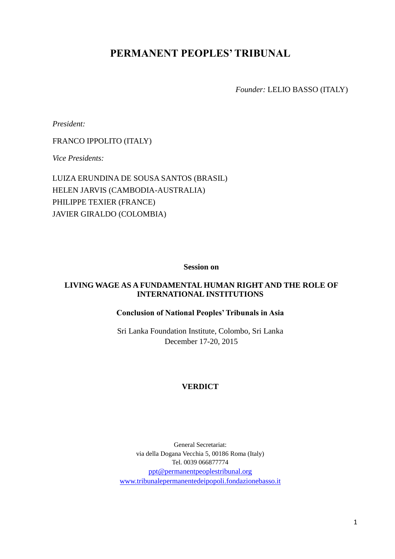# **PERMANENT PEOPLES' TRIBUNAL**

*Founder:* LELIO BASSO (ITALY)

*President:*

FRANCO IPPOLITO (ITALY)

*Vice Presidents:* 

LUIZA ERUNDINA DE SOUSA SANTOS (BRASIL) HELEN JARVIS (CAMBODIA-AUSTRALIA) PHILIPPE TEXIER (FRANCE) JAVIER GIRALDO (COLOMBIA)

**Session on**

# **LIVING WAGE AS A FUNDAMENTAL HUMAN RIGHT AND THE ROLE OF INTERNATIONAL INSTITUTIONS**

## **Conclusion of National Peoples' Tribunals in Asia**

Sri Lanka Foundation Institute, Colombo, Sri Lanka December 17-20, 2015

# **VERDICT**

General Secretariat: via della Dogana Vecchia 5, 00186 Roma (Italy) Tel. 0039 066877774 [ppt@permanentpeoplestribunal.org](mailto:ppt@permanentpeoplestribunal.org) [www.tribunalepermanentedeipopoli.fondazionebasso.it](http://www.tribunalepermanentedeipopoli.fondazionebasso.it/)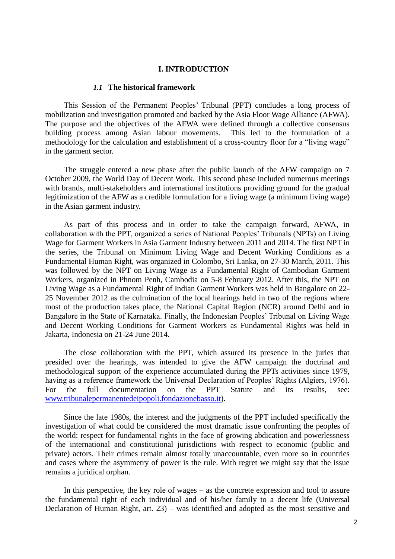#### **I. INTRODUCTION**

#### *1.1* **The historical framework**

This Session of the Permanent Peoples' Tribunal (PPT) concludes a long process of mobilization and investigation promoted and backed by the Asia Floor Wage Alliance (AFWA). The purpose and the objectives of the AFWA were defined through a collective consensus building process among Asian labour movements. This led to the formulation of a methodology for the calculation and establishment of a cross-country floor for a "living wage" in the garment sector.

The struggle entered a new phase after the public launch of the AFW campaign on 7 October 2009, the World Day of Decent Work. This second phase included numerous meetings with brands, multi-stakeholders and international institutions providing ground for the gradual legitimization of the AFW as a credible formulation for a living wage (a minimum living wage) in the Asian garment industry.

As part of this process and in order to take the campaign forward, AFWA, in collaboration with the PPT, organized a series of National Peoples' Tribunals (NPTs) on Living Wage for Garment Workers in Asia Garment Industry between 2011 and 2014. The first NPT in the series, the Tribunal on Minimum Living Wage and Decent Working Conditions as a Fundamental Human Right, was organized in Colombo, Sri Lanka, on 27-30 March, 2011. This was followed by the NPT on Living Wage as a Fundamental Right of Cambodian Garment Workers, organized in Phnom Penh, Cambodia on 5-8 February 2012. After this, the NPT on Living Wage as a Fundamental Right of Indian Garment Workers was held in Bangalore on 22- 25 November 2012 as the culmination of the local hearings held in two of the regions where most of the production takes place, the National Capital Region (NCR) around Delhi and in Bangalore in the State of Karnataka. Finally, the Indonesian Peoples' Tribunal on Living Wage and Decent Working Conditions for Garment Workers as Fundamental Rights was held in Jakarta, Indonesia on 21-24 June 2014.

The close collaboration with the PPT, which assured its presence in the juries that presided over the hearings, was intended to give the AFW campaign the doctrinal and methodological support of the experience accumulated during the PPTs activities since 1979, having as a reference framework the Universal Declaration of Peoples' Rights (Algiers, 1976). For the full documentation on the PPT Statute and its results, see: [www.tribunalepermanentedeipopoli.fondazionebasso.it\)](http://www.tribunalepermanentedeipopoli.fondazionebasso.it/).

Since the late 1980s, the interest and the judgments of the PPT included specifically the investigation of what could be considered the most dramatic issue confronting the peoples of the world: respect for fundamental rights in the face of growing abdication and powerlessness of the international and constitutional jurisdictions with respect to economic (public and private) actors. Their crimes remain almost totally unaccountable, even more so in countries and cases where the asymmetry of power is the rule. With regret we might say that the issue remains a juridical orphan.

In this perspective, the key role of wages – as the concrete expression and tool to assure the fundamental right of each individual and of his/her family to a decent life (Universal Declaration of Human Right, art. 23) – was identified and adopted as the most sensitive and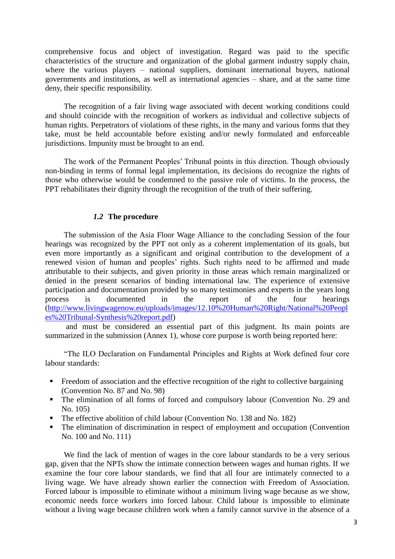comprehensive focus and object of investigation. Regard was paid to the specific characteristics of the structure and organization of the global garment industry supply chain, where the various players – national suppliers, dominant international buyers, national governments and institutions, as well as international agencies – share, and at the same time deny, their specific responsibility.

The recognition of a fair living wage associated with decent working conditions could and should coincide with the recognition of workers as individual and collective subjects of human rights. Perpetrators of violations of these rights, in the many and various forms that they take, must be held accountable before existing and/or newly formulated and enforceable jurisdictions. Impunity must be brought to an end.

The work of the Permanent Peoples' Tribunal points in this direction. Though obviously non-binding in terms of formal legal implementation, its decisions do recognize the rights of those who otherwise would be condemned to the passive role of victims. In the process, the PPT rehabilitates their dignity through the recognition of the truth of their suffering.

## *1.2* **The procedure**

The submission of the Asia Floor Wage Alliance to the concluding Session of the four hearings was recognized by the PPT not only as a coherent implementation of its goals, but even more importantly as a significant and original contribution to the development of a renewed vision of human and peoples' rights. Such rights need to be affirmed and made attributable to their subjects, and given priority in those areas which remain marginalized or denied in the present scenarios of binding international law. The experience of extensive participation and documentation provided by so many testimonies and experts in the years long process is documented in the report of the four hearings [\(http://www.livingwagenow.eu/uploads/images/12.10%20Human%20Right/National%20Peopl](http://www.livingwagenow.eu/uploads/images/12.10%20Human%20Right/National%20Peoples%20Tribunal-Synthesis%20report.pdf) [es%20Tribunal-Synthesis%20report.pdf\)](http://www.livingwagenow.eu/uploads/images/12.10%20Human%20Right/National%20Peoples%20Tribunal-Synthesis%20report.pdf)

and must be considered an essential part of this judgment. Its main points are summarized in the submission (Annex 1), whose core purpose is worth being reported here:

"The ILO Declaration on Fundamental Principles and Rights at Work defined four core labour standards:

- Freedom of association and the effective recognition of the right to collective bargaining (Convention No. 87 and No. 98)
- The elimination of all forms of forced and compulsory labour (Convention No. 29 and No. 105)
- The effective abolition of child labour (Convention No. 138 and No. 182)
- The elimination of discrimination in respect of employment and occupation (Convention No. 100 and No. 111)

We find the lack of mention of wages in the core labour standards to be a very serious gap, given that the NPTs show the intimate connection between wages and human rights. If we examine the four core labour standards, we find that all four are intimately connected to a living wage. We have already shown earlier the connection with Freedom of Association. Forced labour is impossible to eliminate without a minimum living wage because as we show, economic needs force workers into forced labour. Child labour is impossible to eliminate without a living wage because children work when a family cannot survive in the absence of a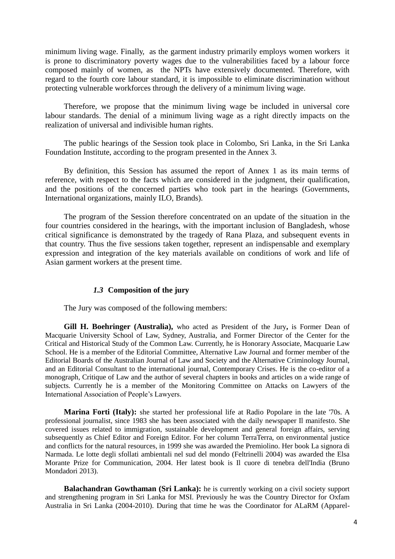minimum living wage. Finally, as the garment industry primarily employs women workers it is prone to discriminatory poverty wages due to the vulnerabilities faced by a labour force composed mainly of women, as the NPTs have extensively documented. Therefore, with regard to the fourth core labour standard, it is impossible to eliminate discrimination without protecting vulnerable workforces through the delivery of a minimum living wage.

Therefore, we propose that the minimum living wage be included in universal core labour standards. The denial of a minimum living wage as a right directly impacts on the realization of universal and indivisible human rights.

The public hearings of the Session took place in Colombo, Sri Lanka, in the Sri Lanka Foundation Institute, according to the program presented in the Annex 3.

By definition, this Session has assumed the report of Annex 1 as its main terms of reference, with respect to the facts which are considered in the judgment, their qualification, and the positions of the concerned parties who took part in the hearings (Governments, International organizations, mainly ILO, Brands).

The program of the Session therefore concentrated on an update of the situation in the four countries considered in the hearings, with the important inclusion of Bangladesh, whose critical significance is demonstrated by the tragedy of Rana Plaza, and subsequent events in that country. Thus the five sessions taken together, represent an indispensable and exemplary expression and integration of the key materials available on conditions of work and life of Asian garment workers at the present time.

## *1.3* **Composition of the jury**

The Jury was composed of the following members:

**Gill H. Boehringer (Australia),** who acted as President of the Jury**,** is Former Dean of Macquarie University School of Law, Sydney, Australia, and Former Director of the Center for the Critical and Historical Study of the Common Law. Currently, he is Honorary Associate, Macquarie Law School. He is a member of the Editorial Committee, Alternative Law Journal and former member of the Editorial Boards of the Australian Journal of Law and Society and the Alternative Criminology Journal, and an Editorial Consultant to the international journal, Contemporary Crises. He is the co-editor of a monograph, Critique of Law and the author of several chapters in books and articles on a wide range of subjects. Currently he is a member of the Monitoring Committee on Attacks on Lawyers of the International Association of People's Lawyers.

**Marina Forti (Italy):** she started her professional life at Radio Popolare in the late '70s. A professional journalist, since 1983 she has been associated with the daily newspaper Il manifesto. She covered issues related to immigration, sustainable development and general foreign affairs, serving subsequently as Chief Editor and Foreign Editor. For her column TerraTerra, on environmental justice and conflicts for the natural resources, in 1999 she was awarded the Premiolino. Her book La signora di Narmada. Le lotte degli sfollati ambientali nel sud del mondo (Feltrinelli 2004) was awarded the Elsa Morante Prize for Communication, 2004. Her latest book is Il cuore di tenebra dell'India (Bruno Mondadori 2013).

**Balachandran Gowthaman (Sri Lanka):** he is currently working on a civil society support and strengthening program in Sri Lanka for MSI. Previously he was the Country Director for Oxfam Australia in Sri Lanka (2004-2010). During that time he was the Coordinator for ALaRM (Apparel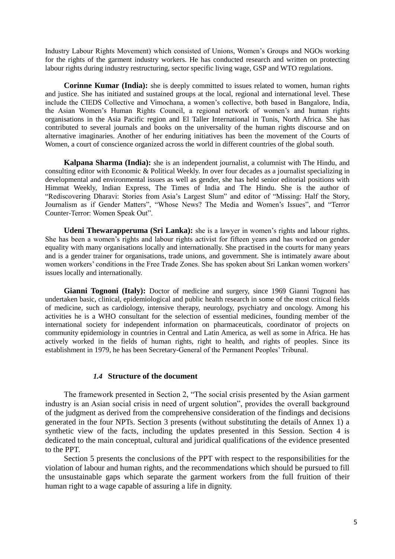Industry Labour Rights Movement) which consisted of Unions, Women's Groups and NGOs working for the rights of the garment industry workers. He has conducted research and written on protecting labour rights during industry restructuring, sector specific living wage, GSP and WTO regulations.

**Corinne Kumar (India):** she is deeply committed to issues related to women, human rights and justice. She has initiated and sustained groups at the local, regional and international level. These include the CIEDS Collective and Vimochana, a women's collective, both based in Bangalore, India, the Asian Women's Human Rights Council, a regional network of women's and human rights organisations in the Asia Pacific region and El Taller International in Tunis, North Africa. She has contributed to several journals and books on the universality of the human rights discourse and on alternative imaginaries. Another of her enduring initiatives has been the movement of the Courts of Women, a court of conscience organized across the world in different countries of the global south.

**Kalpana Sharma (India):** she is an independent journalist, a columnist with The Hindu, and consulting editor with Economic & Political Weekly. In over four decades as a journalist specializing in developmental and environmental issues as well as gender, she has held senior editorial positions with Himmat Weekly, Indian Express, The Times of India and The Hindu. She is the author of "Rediscovering Dharavi: Stories from Asia's Largest Slum" and editor of "Missing: Half the Story, Journalism as if Gender Matters", "Whose News? The Media and Women's Issues", and "Terror Counter-Terror: Women Speak Out".

**Udeni Thewarapperuma (Sri Lanka):** she is a lawyer in women's rights and labour rights. She has been a women's rights and labour rights activist for fifteen years and has worked on gender equality with many organisations locally and internationally. She practised in the courts for many years and is a gender trainer for organisations, trade unions, and government. She is intimately aware about women workers' conditions in the Free Trade Zones. She has spoken about Sri Lankan women workers' issues locally and internationally.

**Gianni Tognoni (Italy):** Doctor of medicine and surgery, since 1969 Gianni Tognoni has undertaken basic, clinical, epidemiological and public health research in some of the most critical fields of medicine, such as cardiology, intensive therapy, neurology, psychiatry and oncology. Among his activities he is a WHO consultant for the selection of essential medicines, founding member of the international society for independent information on pharmaceuticals, coordinator of projects on community epidemiology in countries in Central and Latin America, as well as some in Africa. He has actively worked in the fields of human rights, right to health, and rights of peoples. Since its establishment in 1979, he has been Secretary-General of the Permanent Peoples' Tribunal.

## *1.4* **Structure of the document**

The framework presented in Section 2, "The social crisis presented by the Asian garment industry is an Asian social crisis in need of urgent solution", provides the overall background of the judgment as derived from the comprehensive consideration of the findings and decisions generated in the four NPTs. Section 3 presents (without substituting the details of Annex 1) a synthetic view of the facts, including the updates presented in this Session. Section 4 is dedicated to the main conceptual, cultural and juridical qualifications of the evidence presented to the PPT.

Section 5 presents the conclusions of the PPT with respect to the responsibilities for the violation of labour and human rights, and the recommendations which should be pursued to fill the unsustainable gaps which separate the garment workers from the full fruition of their human right to a wage capable of assuring a life in dignity.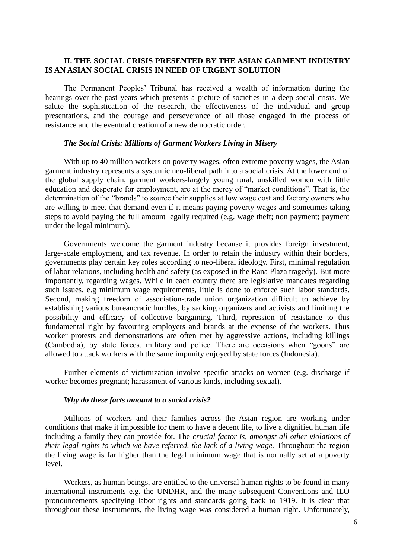## **II. THE SOCIAL CRISIS PRESENTED BY THE ASIAN GARMENT INDUSTRY IS AN ASIAN SOCIAL CRISIS IN NEED OF URGENT SOLUTION**

The Permanent Peoples' Tribunal has received a wealth of information during the hearings over the past years which presents a picture of societies in a deep social crisis. We salute the sophistication of the research, the effectiveness of the individual and group presentations, and the courage and perseverance of all those engaged in the process of resistance and the eventual creation of a new democratic order.

## *The Social Crisis: Millions of Garment Workers Living in Misery*

With up to 40 million workers on poverty wages, often extreme poverty wages, the Asian garment industry represents a systemic neo-liberal path into a social crisis. At the lower end of the global supply chain, garment workers-largely young rural, unskilled women with little education and desperate for employment, are at the mercy of "market conditions". That is, the determination of the "brands" to source their supplies at low wage cost and factory owners who are willing to meet that demand even if it means paying poverty wages and sometimes taking steps to avoid paying the full amount legally required (e.g. wage theft; non payment; payment under the legal minimum).

Governments welcome the garment industry because it provides foreign investment, large-scale employment, and tax revenue. In order to retain the industry within their borders, governments play certain key roles according to neo-liberal ideology. First, minimal regulation of labor relations, including health and safety (as exposed in the Rana Plaza tragedy). But more importantly, regarding wages. While in each country there are legislative mandates regarding such issues, e.g minimum wage requirements, little is done to enforce such labor standards. Second, making freedom of association-trade union organization difficult to achieve by establishing various bureaucratic hurdles, by sacking organizers and activists and limiting the possibility and efficacy of collective bargaining. Third, repression of resistance to this fundamental right by favouring employers and brands at the expense of the workers. Thus worker protests and demonstrations are often met by aggressive actions, including killings (Cambodia), by state forces, military and police. There are occasions when "goons" are allowed to attack workers with the same impunity enjoyed by state forces (Indonesia).

Further elements of victimization involve specific attacks on women (e.g. discharge if worker becomes pregnant; harassment of various kinds, including sexual).

### *Why do these facts amount to a social crisis?*

Millions of workers and their families across the Asian region are working under conditions that make it impossible for them to have a decent life, to live a dignified human life including a family they can provide for. The *crucial factor is, amongst all other violations of their legal rights to which we have referred, the lack of a living wage.* Throughout the region the living wage is far higher than the legal minimum wage that is normally set at a poverty level.

Workers, as human beings, are entitled to the universal human rights to be found in many international instruments e.g. the UNDHR, and the many subsequent Conventions and ILO pronouncements specifying labor rights and standards going back to 1919. It is clear that throughout these instruments, the living wage was considered a human right. Unfortunately,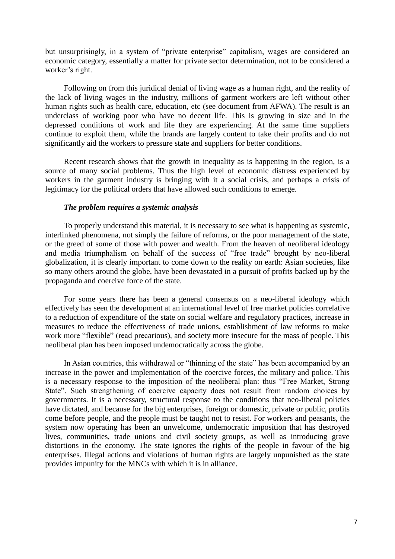but unsurprisingly, in a system of "private enterprise" capitalism, wages are considered an economic category, essentially a matter for private sector determination, not to be considered a worker's right.

Following on from this juridical denial of living wage as a human right, and the reality of the lack of living wages in the industry, millions of garment workers are left without other human rights such as health care, education, etc (see document from AFWA). The result is an underclass of working poor who have no decent life. This is growing in size and in the depressed conditions of work and life they are experiencing. At the same time suppliers continue to exploit them, while the brands are largely content to take their profits and do not significantly aid the workers to pressure state and suppliers for better conditions.

Recent research shows that the growth in inequality as is happening in the region, is a source of many social problems. Thus the high level of economic distress experienced by workers in the garment industry is bringing with it a social crisis, and perhaps a crisis of legitimacy for the political orders that have allowed such conditions to emerge.

## *The problem requires a systemic analysis*

To properly understand this material, it is necessary to see what is happening as systemic, interlinked phenomena, not simply the failure of reforms, or the poor management of the state, or the greed of some of those with power and wealth. From the heaven of neoliberal ideology and media triumphalism on behalf of the success of "free trade" brought by neo-liberal globalization, it is clearly important to come down to the reality on earth: Asian societies, like so many others around the globe, have been devastated in a pursuit of profits backed up by the propaganda and coercive force of the state.

For some years there has been a general consensus on a neo-liberal ideology which effectively has seen the development at an international level of free market policies correlative to a reduction of expenditure of the state on social welfare and regulatory practices, increase in measures to reduce the effectiveness of trade unions, establishment of law reforms to make work more "flexible" (read precarious), and society more insecure for the mass of people. This neoliberal plan has been imposed undemocratically across the globe.

In Asian countries, this withdrawal or "thinning of the state" has been accompanied by an increase in the power and implementation of the coercive forces, the military and police. This is a necessary response to the imposition of the neoliberal plan: thus "Free Market, Strong State". Such strengthening of coercive capacity does not result from random choices by governments. It is a necessary, structural response to the conditions that neo-liberal policies have dictated, and because for the big enterprises, foreign or domestic, private or public, profits come before people, and the people must be taught not to resist. For workers and peasants, the system now operating has been an unwelcome, undemocratic imposition that has destroyed lives, communities, trade unions and civil society groups, as well as introducing grave distortions in the economy. The state ignores the rights of the people in favour of the big enterprises. Illegal actions and violations of human rights are largely unpunished as the state provides impunity for the MNCs with which it is in alliance.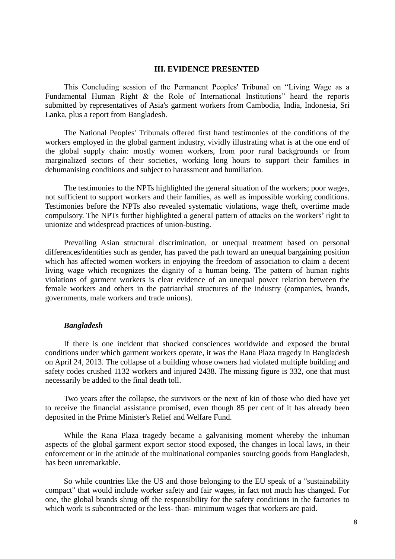#### **III. EVIDENCE PRESENTED**

This Concluding session of the Permanent Peoples' Tribunal on "Living Wage as a Fundamental Human Right & the Role of International Institutions" heard the reports submitted by representatives of Asia's garment workers from Cambodia, India, Indonesia, Sri Lanka, plus a report from Bangladesh.

The National Peoples' Tribunals offered first hand testimonies of the conditions of the workers employed in the global garment industry, vividly illustrating what is at the one end of the global supply chain: mostly women workers, from poor rural backgrounds or from marginalized sectors of their societies, working long hours to support their families in dehumanising conditions and subject to harassment and humiliation.

The testimonies to the NPTs highlighted the general situation of the workers; poor wages, not sufficient to support workers and their families, as well as impossible working conditions. Testimonies before the NPTs also revealed systematic violations, wage theft, overtime made compulsory. The NPTs further highlighted a general pattern of attacks on the workers' right to unionize and widespread practices of union-busting.

Prevailing Asian structural discrimination, or unequal treatment based on personal differences/identities such as gender, has paved the path toward an unequal bargaining position which has affected women workers in enjoying the freedom of association to claim a decent living wage which recognizes the dignity of a human being. The pattern of human rights violations of garment workers is clear evidence of an unequal power relation between the female workers and others in the patriarchal structures of the industry (companies, brands, governments, male workers and trade unions).

#### *Bangladesh*

If there is one incident that shocked consciences worldwide and exposed the brutal conditions under which garment workers operate, it was the Rana Plaza tragedy in Bangladesh on April 24, 2013. The collapse of a building whose owners had violated multiple building and safety codes crushed 1132 workers and injured 2438. The missing figure is 332, one that must necessarily be added to the final death toll.

Two years after the collapse, the survivors or the next of kin of those who died have yet to receive the financial assistance promised, even though 85 per cent of it has already been deposited in the Prime Minister's Relief and Welfare Fund.

While the Rana Plaza tragedy became a galvanising moment whereby the inhuman aspects of the global garment export sector stood exposed, the changes in local laws, in their enforcement or in the attitude of the multinational companies sourcing goods from Bangladesh, has been unremarkable.

So while countries like the US and those belonging to the EU speak of a "sustainability compact" that would include worker safety and fair wages, in fact not much has changed. For one, the global brands shrug off the responsibility for the safety conditions in the factories to which work is subcontracted or the less- than- minimum wages that workers are paid.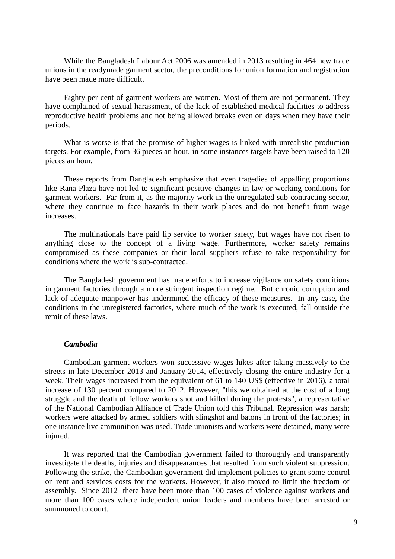While the Bangladesh Labour Act 2006 was amended in 2013 resulting in 464 new trade unions in the readymade garment sector, the preconditions for union formation and registration have been made more difficult.

Eighty per cent of garment workers are women. Most of them are not permanent. They have complained of sexual harassment, of the lack of established medical facilities to address reproductive health problems and not being allowed breaks even on days when they have their periods.

What is worse is that the promise of higher wages is linked with unrealistic production targets. For example, from 36 pieces an hour, in some instances targets have been raised to 120 pieces an hour.

These reports from Bangladesh emphasize that even tragedies of appalling proportions like Rana Plaza have not led to significant positive changes in law or working conditions for garment workers. Far from it, as the majority work in the unregulated sub-contracting sector, where they continue to face hazards in their work places and do not benefit from wage increases.

The multinationals have paid lip service to worker safety, but wages have not risen to anything close to the concept of a living wage. Furthermore, worker safety remains compromised as these companies or their local suppliers refuse to take responsibility for conditions where the work is sub-contracted.

The Bangladesh government has made efforts to increase vigilance on safety conditions in garment factories through a more stringent inspection regime. But chronic corruption and lack of adequate manpower has undermined the efficacy of these measures. In any case, the conditions in the unregistered factories, where much of the work is executed, fall outside the remit of these laws.

#### *Cambodia*

Cambodian garment workers won successive wages hikes after taking massively to the streets in late December 2013 and January 2014, effectively closing the entire industry for a week. Their wages increased from the equivalent of 61 to 140 US\$ (effective in 2016), a total increase of 130 percent compared to 2012. However, "this we obtained at the cost of a long struggle and the death of fellow workers shot and killed during the protests", a representative of the National Cambodian Alliance of Trade Union told this Tribunal. Repression was harsh; workers were attacked by armed soldiers with slingshot and batons in front of the factories; in one instance live ammunition was used. Trade unionists and workers were detained, many were injured.

It was reported that the Cambodian government failed to thoroughly and transparently investigate the deaths, injuries and disappearances that resulted from such violent suppression. Following the strike, the Cambodian government did implement policies to grant some control on rent and services costs for the workers. However, it also moved to limit the freedom of assembly. Since 2012 there have been more than 100 cases of violence against workers and more than 100 cases where independent union leaders and members have been arrested or summoned to court.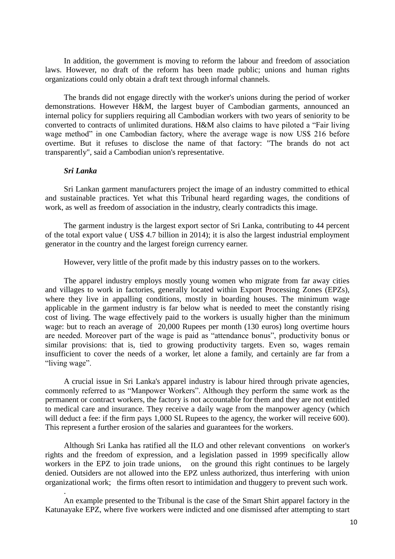In addition, the government is moving to reform the labour and freedom of association laws. However, no draft of the reform has been made public; unions and human rights organizations could only obtain a draft text through informal channels.

The brands did not engage directly with the worker's unions during the period of worker demonstrations. However H&M, the largest buyer of Cambodian garments, announced an internal policy for suppliers requiring all Cambodian workers with two years of seniority to be converted to contracts of unlimited durations. H&M also claims to have piloted a "Fair living wage method" in one Cambodian factory, where the average wage is now US\$ 216 before overtime. But it refuses to disclose the name of that factory: "The brands do not act transparently", said a Cambodian union's representative.

## *Sri Lanka*

.

Sri Lankan garment manufacturers project the image of an industry committed to ethical and sustainable practices. Yet what this Tribunal heard regarding wages, the conditions of work, as well as freedom of association in the industry, clearly contradicts this image.

The garment industry is the largest export sector of Sri Lanka, contributing to 44 percent of the total export value ( US\$ 4.7 billion in 2014); it is also the largest industrial employment generator in the country and the largest foreign currency earner.

However, very little of the profit made by this industry passes on to the workers.

The apparel industry employs mostly young women who migrate from far away cities and villages to work in factories, generally located within Export Processing Zones (EPZs), where they live in appalling conditions, mostly in boarding houses. The minimum wage applicable in the garment industry is far below what is needed to meet the constantly rising cost of living. The wage effectively paid to the workers is usually higher than the minimum wage: but to reach an average of 20,000 Rupees per month (130 euros) long overtime hours are needed. Moreover part of the wage is paid as "attendance bonus", productivity bonus or similar provisions: that is, tied to growing productivity targets. Even so, wages remain insufficient to cover the needs of a worker, let alone a family, and certainly are far from a "living wage".

A crucial issue in Sri Lanka's apparel industry is labour hired through private agencies, commonly referred to as "Manpower Workers". Although they perform the same work as the permanent or contract workers, the factory is not accountable for them and they are not entitled to medical care and insurance. They receive a daily wage from the manpower agency (which will deduct a fee: if the firm pays 1,000 SL Rupees to the agency, the worker will receive 600). This represent a further erosion of the salaries and guarantees for the workers.

Although Sri Lanka has ratified all the ILO and other relevant conventions on worker's rights and the freedom of expression, and a legislation passed in 1999 specifically allow workers in the EPZ to join trade unions, on the ground this right continues to be largely denied. Outsiders are not allowed into the EPZ unless authorized, thus interfering with union organizational work; the firms often resort to intimidation and thuggery to prevent such work.

An example presented to the Tribunal is the case of the Smart Shirt apparel factory in the Katunayake EPZ, where five workers were indicted and one dismissed after attempting to start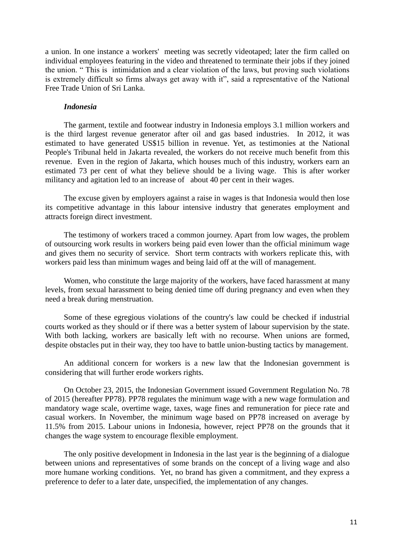a union. In one instance a workers' meeting was secretly videotaped; later the firm called on individual employees featuring in the video and threatened to terminate their jobs if they joined the union. " This is intimidation and a clear violation of the laws, but proving such violations is extremely difficult so firms always get away with it", said a representative of the National Free Trade Union of Sri Lanka.

## *Indonesia*

The garment, textile and footwear industry in Indonesia employs 3.1 million workers and is the third largest revenue generator after oil and gas based industries. In 2012, it was estimated to have generated US\$15 billion in revenue. Yet, as testimonies at the National People's Tribunal held in Jakarta revealed, the workers do not receive much benefit from this revenue. Even in the region of Jakarta, which houses much of this industry, workers earn an estimated 73 per cent of what they believe should be a living wage. This is after worker militancy and agitation led to an increase of about 40 per cent in their wages.

The excuse given by employers against a raise in wages is that Indonesia would then lose its competitive advantage in this labour intensive industry that generates employment and attracts foreign direct investment.

The testimony of workers traced a common journey. Apart from low wages, the problem of outsourcing work results in workers being paid even lower than the official minimum wage and gives them no security of service. Short term contracts with workers replicate this, with workers paid less than minimum wages and being laid off at the will of management.

Women, who constitute the large majority of the workers, have faced harassment at many levels, from sexual harassment to being denied time off during pregnancy and even when they need a break during menstruation.

Some of these egregious violations of the country's law could be checked if industrial courts worked as they should or if there was a better system of labour supervision by the state. With both lacking, workers are basically left with no recourse. When unions are formed, despite obstacles put in their way, they too have to battle union-busting tactics by management.

An additional concern for workers is a new law that the Indonesian government is considering that will further erode workers rights.

On October 23, 2015, the Indonesian Government issued Government Regulation No. 78 of 2015 (hereafter PP78). PP78 regulates the minimum wage with a new wage formulation and mandatory wage scale, overtime wage, taxes, wage fines and remuneration for piece rate and casual workers. In November, the minimum wage based on PP78 increased on average by 11.5% from 2015. Labour unions in Indonesia, however, reject PP78 on the grounds that it changes the wage system to encourage flexible employment.

The only positive development in Indonesia in the last year is the beginning of a dialogue between unions and representatives of some brands on the concept of a living wage and also more humane working conditions. Yet, no brand has given a commitment, and they express a preference to defer to a later date, unspecified, the implementation of any changes.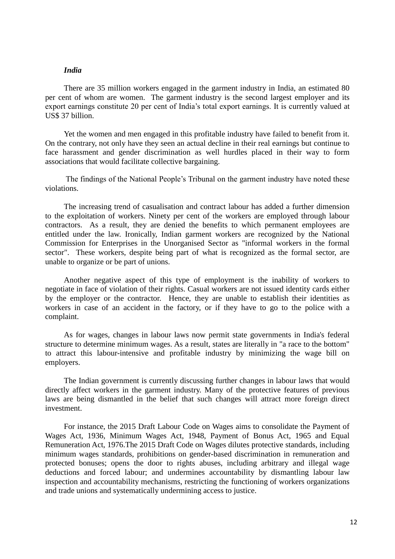## *India*

There are 35 million workers engaged in the garment industry in India, an estimated 80 per cent of whom are women. The garment industry is the second largest employer and its export earnings constitute 20 per cent of India's total export earnings. It is currently valued at US\$ 37 billion.

Yet the women and men engaged in this profitable industry have failed to benefit from it. On the contrary, not only have they seen an actual decline in their real earnings but continue to face harassment and gender discrimination as well hurdles placed in their way to form associations that would facilitate collective bargaining.

The findings of the National People's Tribunal on the garment industry have noted these violations.

The increasing trend of casualisation and contract labour has added a further dimension to the exploitation of workers. Ninety per cent of the workers are employed through labour contractors. As a result, they are denied the benefits to which permanent employees are entitled under the law. Ironically, Indian garment workers are recognized by the National Commission for Enterprises in the Unorganised Sector as "informal workers in the formal sector". These workers, despite being part of what is recognized as the formal sector, are unable to organize or be part of unions.

Another negative aspect of this type of employment is the inability of workers to negotiate in face of violation of their rights. Casual workers are not issued identity cards either by the employer or the contractor. Hence, they are unable to establish their identities as workers in case of an accident in the factory, or if they have to go to the police with a complaint.

As for wages, changes in labour laws now permit state governments in India's federal structure to determine minimum wages. As a result, states are literally in "a race to the bottom" to attract this labour-intensive and profitable industry by minimizing the wage bill on employers.

The Indian government is currently discussing further changes in labour laws that would directly affect workers in the garment industry. Many of the protective features of previous laws are being dismantled in the belief that such changes will attract more foreign direct investment.

For instance, the 2015 Draft Labour Code on Wages aims to consolidate the Payment of Wages Act, 1936, Minimum Wages Act, 1948, Payment of Bonus Act, 1965 and Equal Remuneration Act, 1976.The 2015 Draft Code on Wages dilutes protective standards, including minimum wages standards, prohibitions on gender-based discrimination in remuneration and protected bonuses; opens the door to rights abuses, including arbitrary and illegal wage deductions and forced labour; and undermines accountability by dismantling labour law inspection and accountability mechanisms, restricting the functioning of workers organizations and trade unions and systematically undermining access to justice.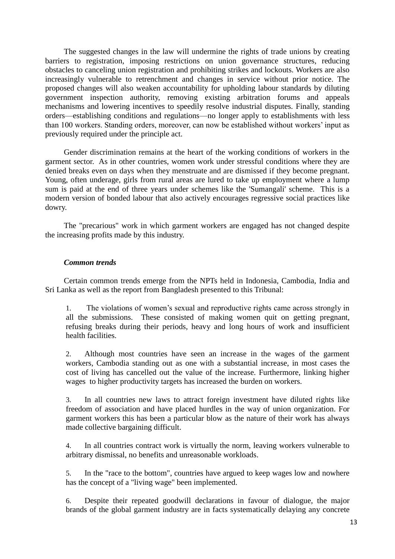The suggested changes in the law will undermine the rights of trade unions by creating barriers to registration, imposing restrictions on union governance structures, reducing obstacles to canceling union registration and prohibiting strikes and lockouts. Workers are also increasingly vulnerable to retrenchment and changes in service without prior notice. The proposed changes will also weaken accountability for upholding labour standards by diluting government inspection authority, removing existing arbitration forums and appeals mechanisms and lowering incentives to speedily resolve industrial disputes. Finally, standing orders—establishing conditions and regulations—no longer apply to establishments with less than 100 workers. Standing orders, moreover, can now be established without workers' input as previously required under the principle act.

Gender discrimination remains at the heart of the working conditions of workers in the garment sector. As in other countries, women work under stressful conditions where they are denied breaks even on days when they menstruate and are dismissed if they become pregnant. Young, often underage, girls from rural areas are lured to take up employment where a lump sum is paid at the end of three years under schemes like the 'Sumangali' scheme. This is a modern version of bonded labour that also actively encourages regressive social practices like dowry.

The "precarious" work in which garment workers are engaged has not changed despite the increasing profits made by this industry.

## *Common trends*

Certain common trends emerge from the NPTs held in Indonesia, Cambodia, India and Sri Lanka as well as the report from Bangladesh presented to this Tribunal:

1. The violations of women's sexual and reproductive rights came across strongly in all the submissions. These consisted of making women quit on getting pregnant, refusing breaks during their periods, heavy and long hours of work and insufficient health facilities.

2. Although most countries have seen an increase in the wages of the garment workers, Cambodia standing out as one with a substantial increase, in most cases the cost of living has cancelled out the value of the increase. Furthermore, linking higher wages to higher productivity targets has increased the burden on workers.

3. In all countries new laws to attract foreign investment have diluted rights like freedom of association and have placed hurdles in the way of union organization. For garment workers this has been a particular blow as the nature of their work has always made collective bargaining difficult.

4. In all countries contract work is virtually the norm, leaving workers vulnerable to arbitrary dismissal, no benefits and unreasonable workloads.

5. In the "race to the bottom", countries have argued to keep wages low and nowhere has the concept of a "living wage" been implemented.

6. Despite their repeated goodwill declarations in favour of dialogue, the major brands of the global garment industry are in facts systematically delaying any concrete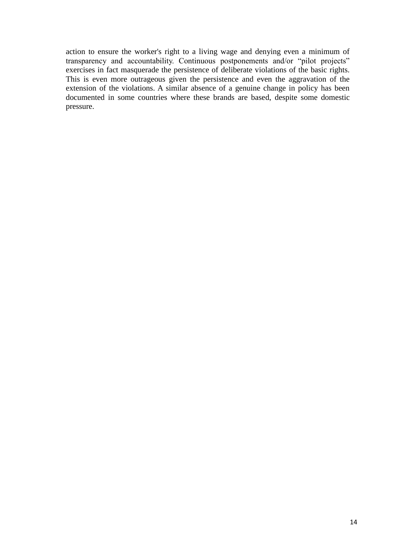action to ensure the worker's right to a living wage and denying even a minimum of transparency and accountability. Continuous postponements and/or "pilot projects" exercises in fact masquerade the persistence of deliberate violations of the basic rights. This is even more outrageous given the persistence and even the aggravation of the extension of the violations. A similar absence of a genuine change in policy has been documented in some countries where these brands are based, despite some domestic pressure.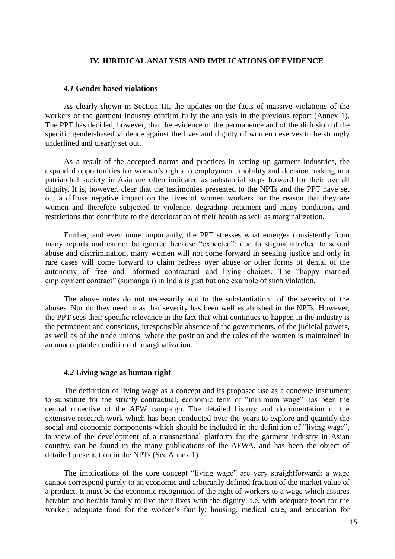#### **IV. JURIDICAL ANALYSIS AND IMPLICATIONS OF EVIDENCE**

#### *4.1* **Gender based violations**

As clearly shown in Section III, the updates on the facts of massive violations of the workers of the garment industry confirm fully the analysis in the previous report (Annex 1). The PPT has decided, however, that the evidence of the permanence and of the diffusion of the specific gender-based violence against the lives and dignity of women deserves to be strongly underlined and clearly set out.

As a result of the accepted norms and practices in setting up garment industries, the expanded opportunities for women's rights to employment, mobility and decision making in a patriarchal society in Asia are often indicated as substantial steps forward for their overall dignity. It is, however, clear that the testimonies presented to the NPTs and the PPT have set out a diffuse negative impact on the lives of women workers for the reason that they are women and therefore subjected to violence, degrading treatment and many conditions and restrictions that contribute to the deterioration of their health as well as marginalization.

Further, and even more importantly, the PPT stresses what emerges consistently from many reports and cannot be ignored because "expected": due to stigma attached to sexual abuse and discrimination, many women will not come forward in seeking justice and only in rare cases will come forward to claim redress over abuse or other forms of denial of the autonomy of free and informed contractual and living choices. The "happy married employment contract" (sumangali) in India is just but one example of such violation.

The above notes do not necessarily add to the substantiation of the severity of the abuses. Nor do they need to as that severity has been well established in the NPTs. However, the PPT sees their specific relevance in the fact that what continues to happen in the industry is the permanent and conscious, irresponsible absence of the governments, of the judicial powers, as well as of the trade unions, where the position and the roles of the women is maintained in an unacceptable condition of marginalization.

#### *4.2* **Living wage as human right**

The definition of living wage as a concept and its proposed use as a concrete instrument to substitute for the strictly contractual, economic term of "minimum wage" has been the central objective of the AFW campaign. The detailed history and documentation of the extensive research work which has been conducted over the years to explore and quantify the social and economic components which should be included in the definition of "living wage", in view of the development of a transnational platform for the garment industry in Asian country, can be found in the many publications of the AFWA, and has been the object of detailed presentation in the NPTs (See Annex 1).

The implications of the core concept "living wage" are very straightforward: a wage cannot correspond purely to an economic and arbitrarily defined fraction of the market value of a product. It must be the economic recognition of the right of workers to a wage which assures her/him and her/his family to live their lives with the dignity: i.e. with adequate food for the worker; adequate food for the worker's family; housing, medical care, and education for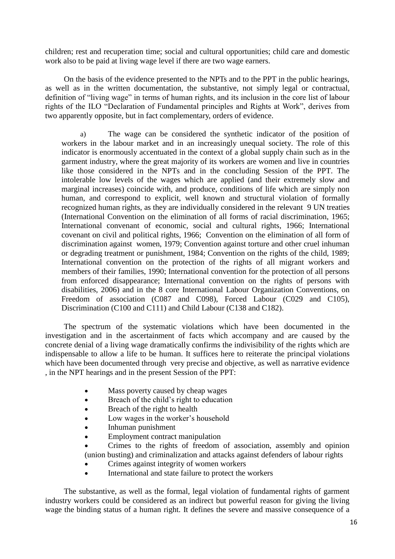children; rest and recuperation time; social and cultural opportunities; child care and domestic work also to be paid at living wage level if there are two wage earners.

On the basis of the evidence presented to the NPTs and to the PPT in the public hearings, as well as in the written documentation, the substantive, not simply legal or contractual, definition of "living wage" in terms of human rights, and its inclusion in the core list of labour rights of the ILO "Declaration of Fundamental principles and Rights at Work", derives from two apparently opposite, but in fact complementary, orders of evidence.

a) The wage can be considered the synthetic indicator of the position of workers in the labour market and in an increasingly unequal society. The role of this indicator is enormously accentuated in the context of a global supply chain such as in the garment industry, where the great majority of its workers are women and live in countries like those considered in the NPTs and in the concluding Session of the PPT. The intolerable low levels of the wages which are applied (and their extremely slow and marginal increases) coincide with, and produce, conditions of life which are simply non human, and correspond to explicit, well known and structural violation of formally recognized human rights, as they are individually considered in the relevant 9 UN treaties (International Convention on the elimination of all forms of racial discrimination, 1965; International convenant of economic, social and cultural rights, 1966; International covenant on civil and political rights, 1966; Convention on the elimination of all form of discrimination against women, 1979; Convention against torture and other cruel inhuman or degrading treatment or punishment, 1984; Convention on the rights of the child, 1989; International convention on the protection of the rights of all migrant workers and members of their families, 1990; International convention for the protection of all persons from enforced disappearance; International convention on the rights of persons with disabilities, 2006) and in the 8 core International Labour Organization Conventions, on Freedom of association (C087 and C098), Forced Labour (C029 and C105), Discrimination (C100 and C111) and Child Labour (C138 and C182).

The spectrum of the systematic violations which have been documented in the investigation and in the ascertainment of facts which accompany and are caused by the concrete denial of a living wage dramatically confirms the indivisibility of the rights which are indispensable to allow a life to be human. It suffices here to reiterate the principal violations which have been documented through very precise and objective, as well as narrative evidence , in the NPT hearings and in the present Session of the PPT:

- Mass poverty caused by cheap wages
- Breach of the child's right to education
- Breach of the right to health
- Low wages in the worker's household
- Inhuman punishment
- Employment contract manipulation
- Crimes to the rights of freedom of association, assembly and opinion (union busting) and criminalization and attacks against defenders of labour rights
- Crimes against integrity of women workers
- International and state failure to protect the workers

The substantive, as well as the formal, legal violation of fundamental rights of garment industry workers could be considered as an indirect but powerful reason for giving the living wage the binding status of a human right. It defines the severe and massive consequence of a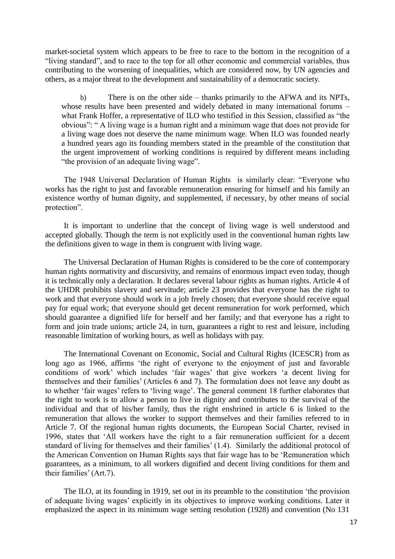market-societal system which appears to be free to race to the bottom in the recognition of a "living standard", and to race to the top for all other economic and commercial variables, thus contributing to the worsening of inequalities, which are considered now, by UN agencies and others, as a major threat to the development and sustainability of a democratic society.

b) There is on the other side – thanks primarily to the AFWA and its NPTs, whose results have been presented and widely debated in many international forums – what Frank Hoffer, a representative of ILO who testified in this Session, classified as "the obvious": " A living wage is a human right and a minimum wage that does not provide for a living wage does not deserve the name minimum wage. When ILO was founded nearly a hundred years ago its founding members stated in the preamble of the constitution that the urgent improvement of working conditions is required by different means including "the provision of an adequate living wage".

The 1948 Universal Declaration of Human Rights is similarly clear: "Everyone who works has the right to just and favorable remuneration ensuring for himself and his family an existence worthy of human dignity, and supplemented, if necessary, by other means of social protection".

It is important to underline that the concept of living wage is well understood and accepted globally. Though the term is not explicitly used in the conventional human rights law the definitions given to wage in them is congruent with living wage.

The Universal Declaration of Human Rights is considered to be the core of contemporary human rights normativity and discursivity, and remains of enormous impact even today, though it is technically only a declaration. It declares several labour rights as human rights. Article 4 of the UHDR prohibits slavery and servitude; article 23 provides that everyone has the right to work and that everyone should work in a job freely chosen; that everyone should receive equal pay for equal work; that everyone should get decent remuneration for work performed, which should guarantee a dignified life for herself and her family; and that everyone has a right to form and join trade unions; article 24, in turn, guarantees a right to rest and leisure, including reasonable limitation of working hours, as well as holidays with pay.

The International Covenant on Economic, Social and Cultural Rights (ICESCR) from as long ago as 1966, affirms 'the right of everyone to the enjoyment of just and favorable conditions of work' which includes 'fair wages' that give workers 'a decent living for themselves and their families' (Articles 6 and 7). The formulation does not leave any doubt as to whether 'fair wages' refers to 'living wage'. The general comment 18 further elaborates that the right to work is to allow a person to live in dignity and contributes to the survival of the individual and that of his/her family, thus the right enshrined in article 6 is linked to the remuneration that allows the worker to support themselves and their families referred to in Article 7. Of the regional human rights documents, the European Social Charter, revised in 1996, states that 'All workers have the right to a fair remuneration sufficient for a decent standard of living for themselves and their families' (1.4). Similarly the additional protocol of the American Convention on Human Rights says that fair wage has to be 'Remuneration which guarantees, as a minimum, to all workers dignified and decent living conditions for them and their families' (Art.7).

The ILO, at its founding in 1919, set out in its preamble to the constitution 'the provision of adequate living wages' explicitly in its objectives to improve working conditions. Later it emphasized the aspect in its minimum wage setting resolution (1928) and convention (No 131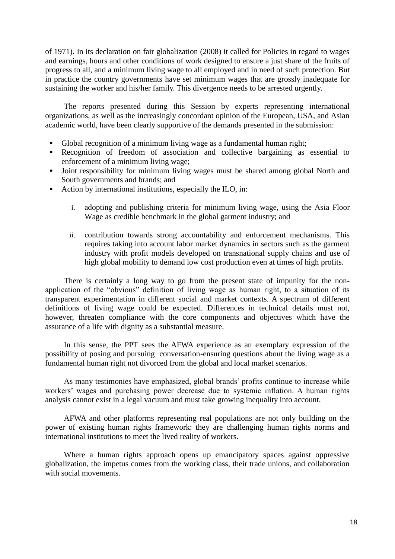of 1971). In its declaration on fair globalization (2008) it called for Policies in regard to wages and earnings, hours and other conditions of work designed to ensure a just share of the fruits of progress to all, and a minimum living wage to all employed and in need of such protection. But in practice the country governments have set minimum wages that are grossly inadequate for sustaining the worker and his/her family. This divergence needs to be arrested urgently.

The reports presented during this Session by experts representing international organizations, as well as the increasingly concordant opinion of the European, USA, and Asian academic world, have been clearly supportive of the demands presented in the submission:

- Global recognition of a minimum living wage as a fundamental human right;
- Recognition of freedom of association and collective bargaining as essential to enforcement of a minimum living wage;
- Joint responsibility for minimum living wages must be shared among global North and South governments and brands; and
- Action by international institutions, especially the ILO, in:
	- i. adopting and publishing criteria for minimum living wage, using the Asia Floor Wage as credible benchmark in the global garment industry; and
	- ii. contribution towards strong accountability and enforcement mechanisms. This requires taking into account labor market dynamics in sectors such as the garment industry with profit models developed on transnational supply chains and use of high global mobility to demand low cost production even at times of high profits.

There is certainly a long way to go from the present state of impunity for the nonapplication of the "obvious" definition of living wage as human right, to a situation of its transparent experimentation in different social and market contexts. A spectrum of different definitions of living wage could be expected. Differences in technical details must not, however, threaten compliance with the core components and objectives which have the assurance of a life with dignity as a substantial measure.

In this sense, the PPT sees the AFWA experience as an exemplary expression of the possibility of posing and pursuing conversation-ensuring questions about the living wage as a fundamental human right not divorced from the global and local market scenarios.

As many testimonies have emphasized, global brands' profits continue to increase while workers' wages and purchasing power decrease due to systemic inflation. A human rights analysis cannot exist in a legal vacuum and must take growing inequality into account.

AFWA and other platforms representing real populations are not only building on the power of existing human rights framework: they are challenging human rights norms and international institutions to meet the lived reality of workers.

Where a human rights approach opens up emancipatory spaces against oppressive globalization, the impetus comes from the working class, their trade unions, and collaboration with social movements.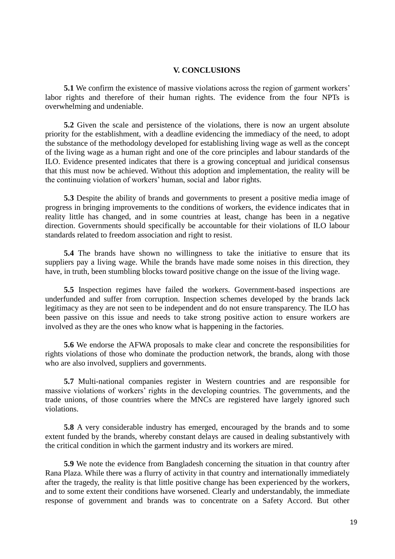## **V. CONCLUSIONS**

**5.1** We confirm the existence of massive violations across the region of garment workers' labor rights and therefore of their human rights. The evidence from the four NPTs is overwhelming and undeniable.

**5.2** Given the scale and persistence of the violations, there is now an urgent absolute priority for the establishment, with a deadline evidencing the immediacy of the need, to adopt the substance of the methodology developed for establishing living wage as well as the concept of the living wage as a human right and one of the core principles and labour standards of the ILO. Evidence presented indicates that there is a growing conceptual and juridical consensus that this must now be achieved. Without this adoption and implementation, the reality will be the continuing violation of workers' human, social and labor rights.

**5.3** Despite the ability of brands and governments to present a positive media image of progress in bringing improvements to the conditions of workers, the evidence indicates that in reality little has changed, and in some countries at least, change has been in a negative direction. Governments should specifically be accountable for their violations of ILO labour standards related to freedom association and right to resist.

**5.4** The brands have shown no willingness to take the initiative to ensure that its suppliers pay a living wage. While the brands have made some noises in this direction, they have, in truth, been stumbling blocks toward positive change on the issue of the living wage.

**5.5** Inspection regimes have failed the workers. Government-based inspections are underfunded and suffer from corruption. Inspection schemes developed by the brands lack legitimacy as they are not seen to be independent and do not ensure transparency. The ILO has been passive on this issue and needs to take strong positive action to ensure workers are involved as they are the ones who know what is happening in the factories.

**5.6** We endorse the AFWA proposals to make clear and concrete the responsibilities for rights violations of those who dominate the production network, the brands, along with those who are also involved, suppliers and governments.

**5.7** Multi-national companies register in Western countries and are responsible for massive violations of workers' rights in the developing countries. The governments, and the trade unions, of those countries where the MNCs are registered have largely ignored such violations.

**5.8** A very considerable industry has emerged, encouraged by the brands and to some extent funded by the brands, whereby constant delays are caused in dealing substantively with the critical condition in which the garment industry and its workers are mired.

**5.9** We note the evidence from Bangladesh concerning the situation in that country after Rana Plaza. While there was a flurry of activity in that country and internationally immediately after the tragedy, the reality is that little positive change has been experienced by the workers, and to some extent their conditions have worsened. Clearly and understandably, the immediate response of government and brands was to concentrate on a Safety Accord. But other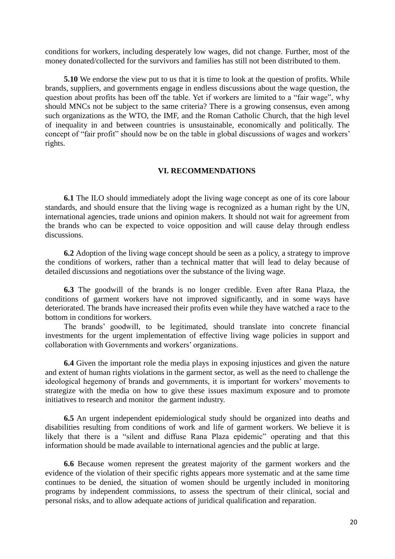conditions for workers, including desperately low wages, did not change. Further, most of the money donated/collected for the survivors and families has still not been distributed to them.

**5.10** We endorse the view put to us that it is time to look at the question of profits. While brands, suppliers, and governments engage in endless discussions about the wage question, the question about profits has been off the table. Yet if workers are limited to a "fair wage", why should MNCs not be subject to the same criteria? There is a growing consensus, even among such organizations as the WTO, the IMF, and the Roman Catholic Church, that the high level of inequality in and between countries is unsustainable, economically and politically. The concept of "fair profit" should now be on the table in global discussions of wages and workers' rights.

## **VI. RECOMMENDATIONS**

**6.1** The ILO should immediately adopt the living wage concept as one of its core labour standards, and should ensure that the living wage is recognized as a human right by the UN, international agencies, trade unions and opinion makers. It should not wait for agreement from the brands who can be expected to voice opposition and will cause delay through endless discussions.

**6.2** Adoption of the living wage concept should be seen as a policy, a strategy to improve the conditions of workers, rather than a technical matter that will lead to delay because of detailed discussions and negotiations over the substance of the living wage.

**6.3** The goodwill of the brands is no longer credible. Even after Rana Plaza, the conditions of garment workers have not improved significantly, and in some ways have deteriorated. The brands have increased their profits even while they have watched a race to the bottom in conditions for workers.

The brands' goodwill, to be legitimated, should translate into concrete financial investments for the urgent implementation of effective living wage policies in support and collaboration with Governments and workers' organizations.

**6.4** Given the important role the media plays in exposing injustices and given the nature and extent of human rights violations in the garment sector, as well as the need to challenge the ideological hegemony of brands and governments, it is important for workers' movements to strategize with the media on how to give these issues maximum exposure and to promote initiatives to research and monitor the garment industry.

**6.5** An urgent independent epidemiological study should be organized into deaths and disabilities resulting from conditions of work and life of garment workers. We believe it is likely that there is a "silent and diffuse Rana Plaza epidemic" operating and that this information should be made available to international agencies and the public at large.

**6.6** Because women represent the greatest majority of the garment workers and the evidence of the violation of their specific rights appears more systematic and at the same time continues to be denied, the situation of women should be urgently included in monitoring programs by independent commissions, to assess the spectrum of their clinical, social and personal risks, and to allow adequate actions of juridical qualification and reparation.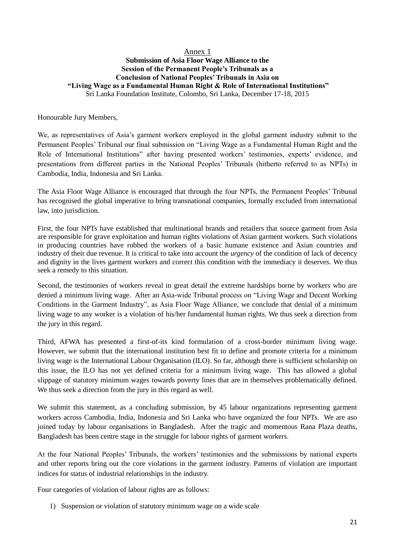## Annex 1 **Submission of Asia Floor Wage Alliance to the Session of the Permanent People's Tribunals as a Conclusion of National Peoples' Tribunals in Asia on "Living Wage as a Fundamental Human Right & Role of International Institutions"** Sri Lanka Foundation Institute, Colombo, Sri Lanka, December 17-18, 2015

Honourable Jury Members,

We, as representatives of Asia's garment workers employed in the global garment industry submit to the Permanent Peoples' Tribunal our final submission on "Living Wage as a Fundamental Human Right and the Role of International Institutions" after having presented workers' testimonies, experts' evidence, and presentations from different parties in the National Peoples' Tribunals (hitherto referred to as NPTs) in Cambodia, India, Indonesia and Sri Lanka.

The Asia Floor Wage Alliance is encouraged that through the four NPTs, the Permanent Peoples' Tribunal has recognised the global imperative to bring transnational companies, formally excluded from international law, into jurisdiction.

First, the four NPTs have established that multinational brands and retailers that source garment from Asia are responsible for grave exploitation and human rights violations of Asian garment workers. Such violations in producing countries have robbed the workers of a basic humane existence and Asian countries and industry of their due revenue. It is critical to take into account the *urgency* of the condition of lack of decency and dignity in the lives garment workers and correct this condition with the immediacy it deserves. We thus seek a remedy to this situation.

Second, the testimonies of workers reveal in great detail the extreme hardships borne by workers who are denied a minimum living wage. After an Asia-wide Tribunal process on "Living Wage and Decent Working Conditions in the Garment Industry", as Asia Floor Wage Alliance, we conclude that denial of a minimum living wage to any worker is a violation of his/her fundamental human rights. We thus seek a direction from the jury in this regard.

Third, AFWA has presented a first-of-its kind formulation of a cross-border minimum living wage. However, we submit that the international institution best fit to define and promote criteria for a minimum living wage is the International Labour Organisation (ILO). So far, although there is sufficient scholarship on this issue, the ILO has not yet defined criteria for a minimum living wage. This has allowed a global slippage of statutory minimum wages towards poverty lines that are in themselves problematically defined. We thus seek a direction from the jury in this regard as well.

We submit this statement, as a concluding submission, by 45 labour organizations representing garment workers across Cambodia, India, Indonesia and Sri Lanka who have organized the four NPTs. We are aso joined today by labour organisations in Bangladesh. After the tragic and momentous Rana Plaza deaths, Bangladesh has been centre stage in the struggle for labour rights of garment workers.

At the four National Peoples' Tribunals, the workers' testimonies and the submissions by national experts and other reports bring out the core violations in the garment industry. Patterns of violation are important indices for status of industrial relationships in the industry.

Four categories of violation of labour rights are as follows:

1) Suspension or violation of statutory minimum wage on a wide scale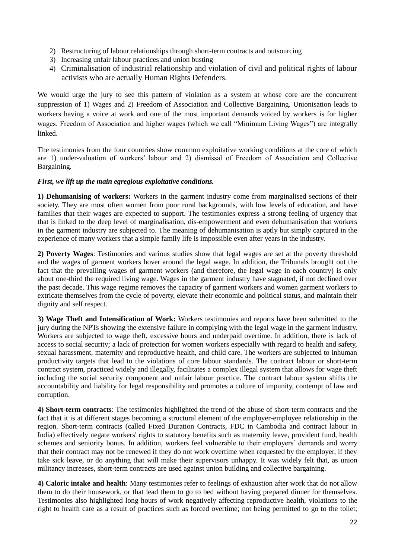- 2) Restructuring of labour relationships through short-term contracts and outsourcing
- 3) Increasing unfair labour practices and union busting
- 4) Criminalisation of industrial relationship and violation of civil and political rights of labour activists who are actually Human Rights Defenders.

We would urge the jury to see this pattern of violation as a system at whose core are the concurrent suppression of 1) Wages and 2) Freedom of Association and Collective Bargaining. Unionisation leads to workers having a voice at work and one of the most important demands voiced by workers is for higher wages. Freedom of Association and higher wages (which we call "Minimum Living Wages") are integrally linked.

The testimonies from the four countries show common exploitative working conditions at the core of which are 1) under-valuation of workers' labour and 2) dismissal of Freedom of Association and Collective Bargaining.

## *First, we lift up the main egregious exploitative conditions.*

**1) Dehumanising of workers:** Workers in the garment industry come from marginalised sections of their society. They are most often women from poor rural backgrounds, with low levels of education, and have families that their wages are expected to support. The testimonies express a strong feeling of urgency that that is linked to the deep level of marginalisation, dis-empowerment and even dehumanisation that workers in the garment industry are subjected to. The meaning of dehumanisation is aptly but simply captured in the experience of many workers that a simple family life is impossible even after years in the industry.

**2) Poverty Wages**: Testimonies and various studies show that legal wages are set at the poverty threshold and the wages of garment workers hover around the legal wage. In addition, the Tribunals brought out the fact that the prevailing wages of garment workers (and therefore, the legal wage in each country) is only about one-third the required living wage. Wages in the garment industry have stagnated, if not declined over the past decade. This wage regime removes the capacity of garment workers and women garment workers to extricate themselves from the cycle of poverty, elevate their economic and political status, and maintain their dignity and self respect.

**3) Wage Theft and Intensification of Work:** Workers testimonies and reports have been submitted to the jury during the NPTs showing the extensive failure in complying with the legal wage in the garment industry. Workers are subjected to wage theft, excessive hours and underpaid overtime. In addition, there is lack of access to social security; a lack of protection for women workers especially with regard to health and safety, sexual harassment, maternity and reproductive health, and child care. The workers are subjected to inhuman productivity targets that lead to the violations of core labour standards. The contract labour or short-term contract system, practiced widely and illegally, facilitates a complex illegal system that allows for wage theft including the social security component and unfair labour practice. The contract labour system shifts the accountability and liability for legal responsibility and promotes a culture of impunity, contempt of law and corruption.

**4) Short-term contracts**: The testimonies highlighted the trend of the abuse of short-term contracts and the fact that it is at different stages becoming a structural element of the employer-employee relationship in the region. Short-term contracts (called Fixed Duration Contracts, FDC in Cambodia and contract labour in India) effectively negate workers' rights to statutory benefits such as maternity leave, provident fund, health schemes and seniority bonus. In addition, workers feel vulnerable to their employers' demands and worry that their contract may not be renewed if they do not work overtime when requested by the employer, if they take sick leave, or do anything that will make their supervisors unhappy. It was widely felt that, as union militancy increases, short-term contracts are used against union building and collective bargaining.

**4) Caloric intake and health**: Many testimonies refer to feelings of exhaustion after work that do not allow them to do their housework, or that lead them to go to bed without having prepared dinner for themselves. Testimonies also highlighted long hours of work negatively affecting reproductive health, violations to the right to health care as a result of practices such as forced overtime; not being permitted to go to the toilet;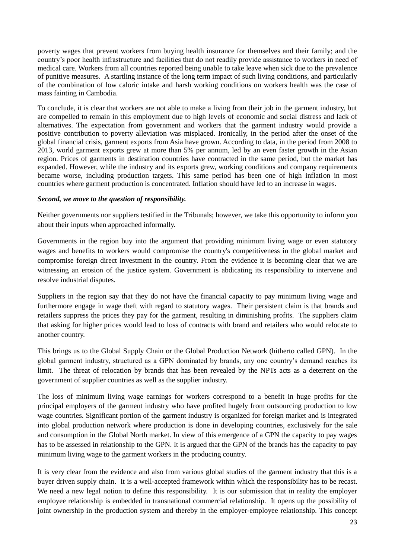poverty wages that prevent workers from buying health insurance for themselves and their family; and the country's poor health infrastructure and facilities that do not readily provide assistance to workers in need of medical care. Workers from all countries reported being unable to take leave when sick due to the prevalence of punitive measures. A startling instance of the long term impact of such living conditions, and particularly of the combination of low caloric intake and harsh working conditions on workers health was the case of mass fainting in Cambodia.

To conclude, it is clear that workers are not able to make a living from their job in the garment industry, but are compelled to remain in this employment due to high levels of economic and social distress and lack of alternatives. The expectation from government and workers that the garment industry would provide a positive contribution to poverty alleviation was misplaced. Ironically, in the period after the onset of the global financial crisis, garment exports from Asia have grown. According to data, in the period from 2008 to 2013, world garment exports grew at more than 5% per annum, led by an even faster growth in the Asian region. Prices of garments in destination countries have contracted in the same period, but the market has expanded. However, while the industry and its exports grew, working conditions and company requirements became worse, including production targets. This same period has been one of high inflation in most countries where garment production is concentrated. Inflation should have led to an increase in wages.

## *Second, we move to the question of responsibility.*

Neither governments nor suppliers testified in the Tribunals; however, we take this opportunity to inform you about their inputs when approached informally.

Governments in the region buy into the argument that providing minimum living wage or even statutory wages and benefits to workers would compromise the country's competitiveness in the global market and compromise foreign direct investment in the country. From the evidence it is becoming clear that we are witnessing an erosion of the justice system. Government is abdicating its responsibility to intervene and resolve industrial disputes.

Suppliers in the region say that they do not have the financial capacity to pay minimum living wage and furthermore engage in wage theft with regard to statutory wages. Their persistent claim is that brands and retailers suppress the prices they pay for the garment, resulting in diminishing profits. The suppliers claim that asking for higher prices would lead to loss of contracts with brand and retailers who would relocate to another country.

This brings us to the Global Supply Chain or the Global Production Network (hitherto called GPN). In the global garment industry, structured as a GPN dominated by brands, any one country's demand reaches its limit. The threat of relocation by brands that has been revealed by the NPTs acts as a deterrent on the government of supplier countries as well as the supplier industry.

The loss of minimum living wage earnings for workers correspond to a benefit in huge profits for the principal employers of the garment industry who have profited hugely from outsourcing production to low wage countries. Significant portion of the garment industry is organized for foreign market and is integrated into global production network where production is done in developing countries, exclusively for the sale and consumption in the Global North market. In view of this emergence of a GPN the capacity to pay wages has to be assessed in relationship to the GPN. It is argued that the GPN of the brands has the capacity to pay minimum living wage to the garment workers in the producing country.

It is very clear from the evidence and also from various global studies of the garment industry that this is a buyer driven supply chain. It is a well-accepted framework within which the responsibility has to be recast. We need a new legal notion to define this responsibility. It is our submission that in reality the employer employee relationship is embedded in transnational commercial relationship. It opens up the possibility of joint ownership in the production system and thereby in the employer-employee relationship. This concept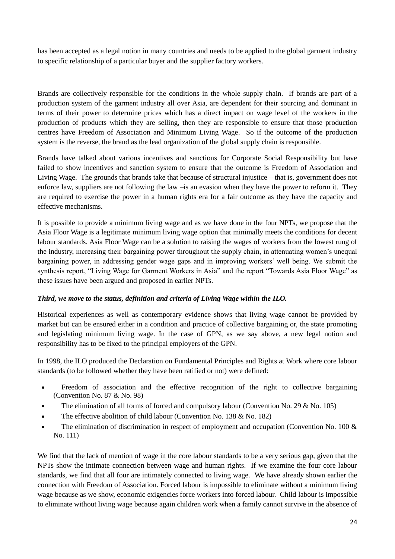has been accepted as a legal notion in many countries and needs to be applied to the global garment industry to specific relationship of a particular buyer and the supplier factory workers.

Brands are collectively responsible for the conditions in the whole supply chain. If brands are part of a production system of the garment industry all over Asia, are dependent for their sourcing and dominant in terms of their power to determine prices which has a direct impact on wage level of the workers in the production of products which they are selling, then they are responsible to ensure that those production centres have Freedom of Association and Minimum Living Wage. So if the outcome of the production system is the reverse, the brand as the lead organization of the global supply chain is responsible.

Brands have talked about various incentives and sanctions for Corporate Social Responsibility but have failed to show incentives and sanction system to ensure that the outcome is Freedom of Association and Living Wage. The grounds that brands take that because of structural injustice – that is, government does not enforce law, suppliers are not following the law –is an evasion when they have the power to reform it. They are required to exercise the power in a human rights era for a fair outcome as they have the capacity and effective mechanisms.

It is possible to provide a minimum living wage and as we have done in the four NPTs, we propose that the Asia Floor Wage is a legitimate minimum living wage option that minimally meets the conditions for decent labour standards. Asia Floor Wage can be a solution to raising the wages of workers from the lowest rung of the industry, increasing their bargaining power throughout the supply chain, in attenuating women's unequal bargaining power, in addressing gender wage gaps and in improving workers' well being. We submit the synthesis report, "Living Wage for Garment Workers in Asia" and the report "Towards Asia Floor Wage" as these issues have been argued and proposed in earlier NPTs.

## *Third, we move to the status, definition and criteria of Living Wage within the ILO.*

Historical experiences as well as contemporary evidence shows that living wage cannot be provided by market but can be ensured either in a condition and practice of collective bargaining or, the state promoting and legislating minimum living wage. In the case of GPN, as we say above, a new legal notion and responsibility has to be fixed to the principal employers of the GPN.

In 1998, the ILO produced the Declaration on Fundamental Principles and Rights at Work where core labour standards (to be followed whether they have been ratified or not) were defined:

- Freedom of association and the effective recognition of the right to collective bargaining (Convention No. 87 & No. 98)
- The elimination of all forms of forced and compulsory labour (Convention No. 29 & No. 105)
- The effective abolition of child labour (Convention No. 138 & No. 182)
- The elimination of discrimination in respect of employment and occupation (Convention No. 100 & No. 111)

We find that the lack of mention of wage in the core labour standards to be a very serious gap, given that the NPTs show the intimate connection between wage and human rights. If we examine the four core labour standards, we find that all four are intimately connected to living wage. We have already shown earlier the connection with Freedom of Association. Forced labour is impossible to eliminate without a minimum living wage because as we show, economic exigencies force workers into forced labour. Child labour is impossible to eliminate without living wage because again children work when a family cannot survive in the absence of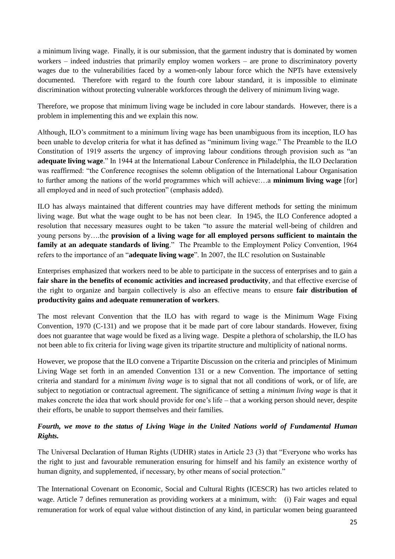a minimum living wage. Finally, it is our submission, that the garment industry that is dominated by women workers – indeed industries that primarily employ women workers – are prone to discriminatory poverty wages due to the vulnerabilities faced by a women-only labour force which the NPTs have extensively documented. Therefore with regard to the fourth core labour standard, it is impossible to eliminate discrimination without protecting vulnerable workforces through the delivery of minimum living wage.

Therefore, we propose that minimum living wage be included in core labour standards. However, there is a problem in implementing this and we explain this now.

Although, ILO's commitment to a minimum living wage has been unambiguous from its inception, ILO has been unable to develop criteria for what it has defined as "minimum living wage." The Preamble to the ILO Constitution of 1919 asserts the urgency of improving labour conditions through provision such as "an **adequate living wage**." In 1944 at the International Labour Conference in Philadelphia, the ILO Declaration was reaffirmed: "the Conference recognises the solemn obligation of the International Labour Organisation to further among the nations of the world programmes which will achieve:…a **minimum living wage** [for] all employed and in need of such protection" (emphasis added).

ILO has always maintained that different countries may have different methods for setting the minimum living wage. But what the wage ought to be has not been clear. In 1945, the ILO Conference adopted a resolution that necessary measures ought to be taken "to assure the material well-being of children and young persons by….the **provision of a living wage for all employed persons sufficient to maintain the family at an adequate standards of living**." The Preamble to the Employment Policy Convention, 1964 refers to the importance of an "**adequate living wage**". In 2007, the ILC resolution on Sustainable

Enterprises emphasized that workers need to be able to participate in the success of enterprises and to gain a **fair share in the benefits of economic activities and increased productivity**, and that effective exercise of the right to organize and bargain collectively is also an effective means to ensure **fair distribution of productivity gains and adequate remuneration of workers**.

The most relevant Convention that the ILO has with regard to wage is the Minimum Wage Fixing Convention, 1970 (C-131) and we propose that it be made part of core labour standards. However, fixing does not guarantee that wage would be fixed as a living wage. Despite a plethora of scholarship, the ILO has not been able to fix criteria for living wage given its tripartite structure and multiplicity of national norms.

However, we propose that the ILO convene a Tripartite Discussion on the criteria and principles of Minimum Living Wage set forth in an amended Convention 131 or a new Convention. The importance of setting criteria and standard for a *minimum living wage* is to signal that not all conditions of work, or of life, are subject to negotiation or contractual agreement. The significance of setting a *minimum living wage* is that it makes concrete the idea that work should provide for one's life – that a working person should never, despite their efforts, be unable to support themselves and their families.

# *Fourth, we move to the status of Living Wage in the United Nations world of Fundamental Human Rights.*

The Universal Declaration of Human Rights (UDHR) states in Article 23 (3) that "Everyone who works has the right to just and favourable remuneration ensuring for himself and his family an existence worthy of human dignity, and supplemented, if necessary, by other means of social protection."

The International Covenant on Economic, Social and Cultural Rights (ICESCR) has two articles related to wage. Article 7 defines remuneration as providing workers at a minimum, with: (i) Fair wages and equal remuneration for work of equal value without distinction of any kind, in particular women being guaranteed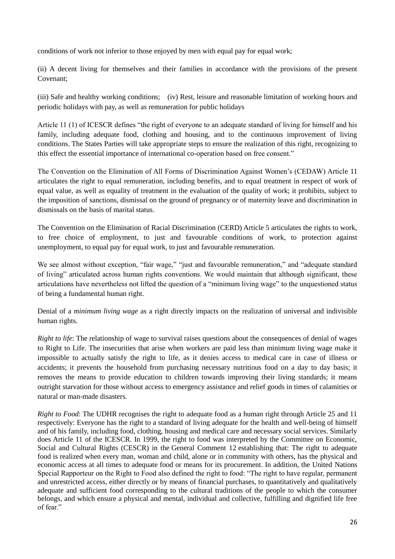conditions of work not inferior to those enjoyed by men with equal pay for equal work;

(ii) A decent living for themselves and their families in accordance with the provisions of the present Covenant;

(iii) Safe and healthy working conditions; (iv) Rest, leisure and reasonable limitation of working hours and periodic holidays with pay, as well as remuneration for public holidays

Article 11 (1) of ICESCR defines "the right of everyone to an adequate standard of living for himself and his family, including adequate food, clothing and housing, and to the continuous improvement of living conditions. The States Parties will take appropriate steps to ensure the realization of this right, recognizing to this effect the essential importance of international co-operation based on free consent."

The Convention on the Elimination of All Forms of Discrimination Against Women's (CEDAW) Article 11 articulates the right to equal remuneration, including benefits, and to equal treatment in respect of work of equal value, as well as equality of treatment in the evaluation of the quality of work; it prohibits, subject to the imposition of sanctions, dismissal on the ground of pregnancy or of maternity leave and discrimination in dismissals on the basis of marital status.

The Convention on the Elimination of Racial Discrimination (CERD) Article 5 articulates the rights to work, to free choice of employment, to just and favourable conditions of work, to protection against unemployment, to equal pay for equal work, to just and favourable remuneration.

We see almost without exception, "fair wage," "just and favourable remuneration," and "adequate standard" of living" articulated across human rights conventions. We would maintain that although significant, these articulations have nevertheless not lifted the question of a "minimum living wage" to the unquestioned status of being a fundamental human right.

Denial of a *minimum living wage* as a right directly impacts on the realization of universal and indivisible human rights.

*Right to life*: The relationship of wage to survival raises questions about the consequences of denial of wages to Right to Life. The insecurities that arise when workers are paid less than minimum living wage make it impossible to actually satisfy the right to life, as it denies access to medical care in case of illness or accidents; it prevents the household from purchasing necessary nutritious food on a day to day basis; it removes the means to provide education to children towards improving their living standards; it means outright starvation for those without access to emergency assistance and relief goods in times of calamities or natural or man-made disasters.

*Right to Food*: The UDHR recognises the right to adequate food as a human right through Article 25 and 11 respectively: Everyone has the right to a standard of living adequate for the health and well-being of himself and of his family, including food, clothing, housing and medical care and necessary social services. Similarly does Article 11 of the ICESCR. In 1999, the right to food was interpreted by the Committee on Economic, Social and Cultural Rights (CESCR) in the General Comment 12 establishing that: The right to adequate food is realized when every man, woman and child, alone or in community with others, has the physical and economic access at all times to adequate food or means for its procurement. In addition, the United Nations Special Rapporteur on the Right to Food also defined the right to food: "The right to have regular, permanent and unrestricted access, either directly or by means of financial purchases, to quantitatively and qualitatively adequate and sufficient food corresponding to the cultural traditions of the people to which the consumer belongs, and which ensure a physical and mental, individual and collective, fulfilling and dignified life free of fear."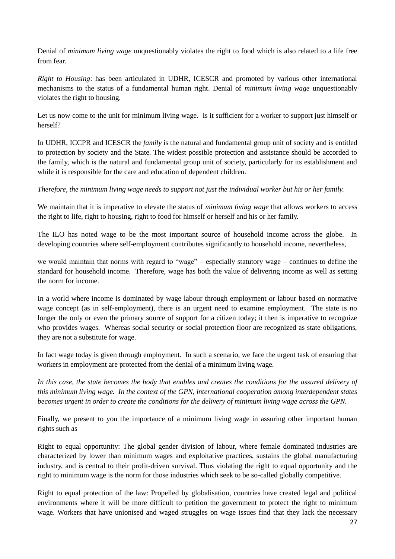Denial of *minimum living wage* unquestionably violates the right to food which is also related to a life free from fear.

*Right to Housing*: has been articulated in UDHR, ICESCR and promoted by various other international mechanisms to the status of a fundamental human right. Denial of *minimum living wage* unquestionably violates the right to housing.

Let us now come to the unit for minimum living wage. Is it sufficient for a worker to support just himself or herself?

In UDHR, ICCPR and ICESCR the *family* is the natural and fundamental group unit of society and is entitled to protection by society and the State. The widest possible protection and assistance should be accorded to the family, which is the natural and fundamental group unit of society, particularly for its establishment and while it is responsible for the care and education of dependent children.

*Therefore, the minimum living wage needs to support not just the individual worker but his or her family.*

We maintain that it is imperative to elevate the status of *minimum living wage* that allows workers to access the right to life, right to housing, right to food for himself or herself and his or her family.

The ILO has noted wage to be the most important source of household income across the globe. In developing countries where self-employment contributes significantly to household income, nevertheless,

we would maintain that norms with regard to "wage" – especially statutory wage – continues to define the standard for household income. Therefore, wage has both the value of delivering income as well as setting the norm for income.

In a world where income is dominated by wage labour through employment or labour based on normative wage concept (as in self-employment), there is an urgent need to examine employment. The state is no longer the only or even the primary source of support for a citizen today; it then is imperative to recognize who provides wages. Whereas social security or social protection floor are recognized as state obligations, they are not a substitute for wage.

In fact wage today is given through employment. In such a scenario, we face the urgent task of ensuring that workers in employment are protected from the denial of a minimum living wage.

In this case, the state becomes the body that enables and creates the conditions for the assured delivery of *this minimum living wage. In the context of the GPN, international cooperation among interdependent states becomes urgent in order to create the conditions for the delivery of minimum living wage across the GPN.*

Finally, we present to you the importance of a minimum living wage in assuring other important human rights such as

Right to equal opportunity: The global gender division of labour, where female dominated industries are characterized by lower than minimum wages and exploitative practices, sustains the global manufacturing industry, and is central to their profit-driven survival. Thus violating the right to equal opportunity and the right to minimum wage is the norm for those industries which seek to be so-called globally competitive.

Right to equal protection of the law: Propelled by globalisation, countries have created legal and political environments where it will be more difficult to petition the government to protect the right to minimum wage. Workers that have unionised and waged struggles on wage issues find that they lack the necessary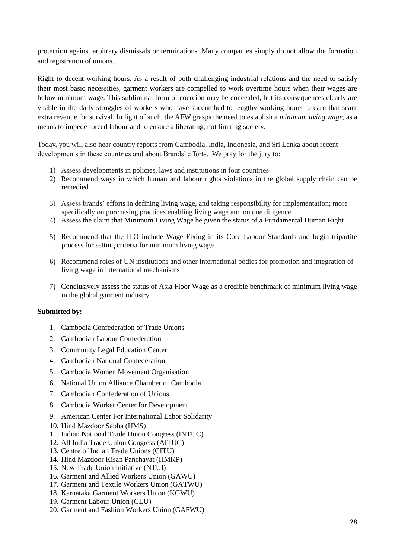protection against arbitrary dismissals or terminations. Many companies simply do not allow the formation and registration of unions.

Right to decent working hours: As a result of both challenging industrial relations and the need to satisfy their most basic necessities, garment workers are compelled to work overtime hours when their wages are below minimum wage. This subliminal form of coercion may be concealed, but its consequences clearly are visible in the daily struggles of workers who have succumbed to lengthy working hours to earn that scant extra revenue for survival. In light of such, the AFW grasps the need to establish a *minimum living wage,* as a means to impede forced labour and to ensure a liberating, not limiting society.

Today, you will also hear country reports from Cambodia, India, Indonesia, and Sri Lanka about recent developments in these countries and about Brands' efforts. We pray for the jury to:

- 1) Assess developments in policies, laws and institutions in four countries
- 2) Recommend ways in which human and labour rights violations in the global supply chain can be remedied
- 3) Assess brands' efforts in defining living wage, and taking responsibility for implementation; more specifically on purchasing practices enabling living wage and on due diligence
- 4) Assess the claim that Minimum Living Wage be given the status of a Fundamental Human Right
- 5) Recommend that the ILO include Wage Fixing in its Core Labour Standards and begin tripartite process for setting criteria for minimum living wage
- 6) Recommend roles of UN institutions and other international bodies for promotion and integration of living wage in international mechanisms
- 7) Conclusively assess the status of Asia Floor Wage as a credible benchmark of minimum living wage in the global garment industry

#### **Submitted by:**

- 1. Cambodia Confederation of Trade Unions
- 2. Cambodian Labour Confederation
- 3. Community Legal Education Center
- 4. Cambodian National Confederation
- 5. Cambodia Women Movement Organisation
- 6. National Union Alliance Chamber of Cambodia
- 7. Cambodian Confederation of Unions
- 8. Cambodia Worker Center for Development
- 9. American Center For International Labor Solidarity
- 10. Hind Mazdoor Sabha (HMS)
- 11. Indian National Trade Union Congress (INTUC)
- 12. All India Trade Union Congress (AITUC)
- 13. Centre of Indian Trade Unions (CITU)
- 14. Hind Mazdoor Kisan Panchayat (HMKP)
- 15. New Trade Union Initiative (NTUI)
- 16. Garment and Allied Workers Union (GAWU)
- 17. Garment and Textile Workers Union (GATWU)
- 18. Karnataka Garment Workers Union (KGWU)
- 19. Garment Labour Union (GLU)
- 20. Garment and Fashion Workers Union (GAFWU)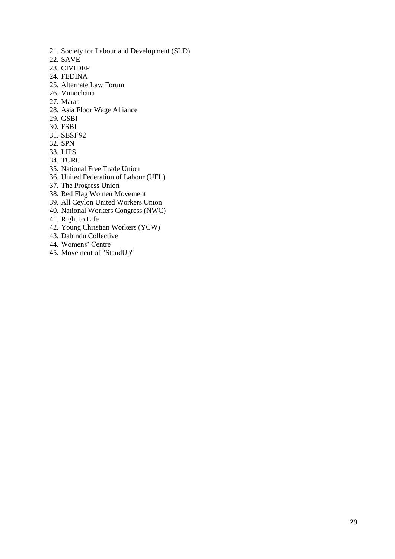- 21. Society for Labour and Development (SLD)
- 22. SAVE
- 23. CIVIDEP
- 24. FEDINA
- 25. Alternate Law Forum
- 26. Vimochana
- 27. Maraa
- 28. Asia Floor Wage Alliance
- 29. GSBI
- 30. FSBI
- 31. SBSI'92
- 32. SPN
- 33. LIPS
- 34. TURC
- 35. National Free Trade Union
- 36. United Federation of Labour (UFL)
- 37. The Progress Union
- 38. Red Flag Women Movement
- 39. All Ceylon United Workers Union
- 40. National Workers Congress (NWC)
- 41. Right to Life
- 42. Young Christian Workers (YCW)
- 43. Dabindu Collective
- 44. Womens' Centre
- 45. Movement of "StandUp"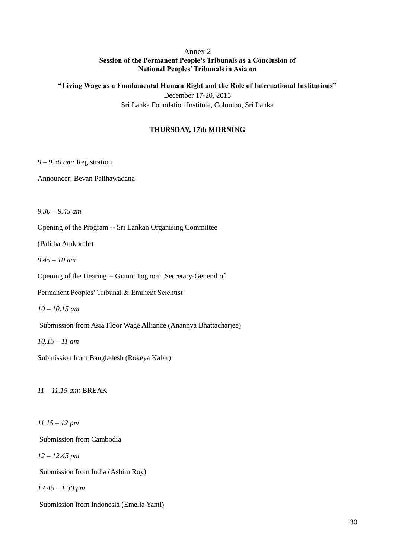## Annex 2 **Session of the Permanent People's Tribunals as a Conclusion of National Peoples' Tribunals in Asia on**

**"Living Wage as a Fundamental Human Right and the Role of International Institutions"** December 17-20, 2015 Sri Lanka Foundation Institute, Colombo, Sri Lanka

## **THURSDAY, 17th MORNING**

*9 – 9.30 am:* Registration

Announcer: Bevan Palihawadana

*9.30 – 9.45 am*

Opening of the Program -- Sri Lankan Organising Committee

(Palitha Atukorale)

*9.45 – 10 am*

Opening of the Hearing -- Gianni Tognoni, Secretary-General of

Permanent Peoples' Tribunal & Eminent Scientist

*10 – 10.15 am*

Submission from Asia Floor Wage Alliance (Anannya Bhattacharjee)

*10.15 – 11 am*

Submission from Bangladesh (Rokeya Kabir)

*11 – 11.15 am:* BREAK

*11.15 – 12 pm*

Submission from Cambodia

*12 – 12.45 pm*

Submission from India (Ashim Roy)

*12.45 – 1.30 pm*

Submission from Indonesia (Emelia Yanti)